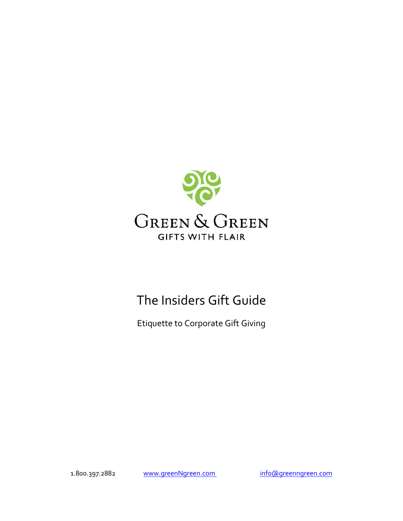

# The Insiders Gift Guide

Etiquette to Corporate Gift Giving

1.800.397.2882 www.greenNgreen.com info@greenngreen.com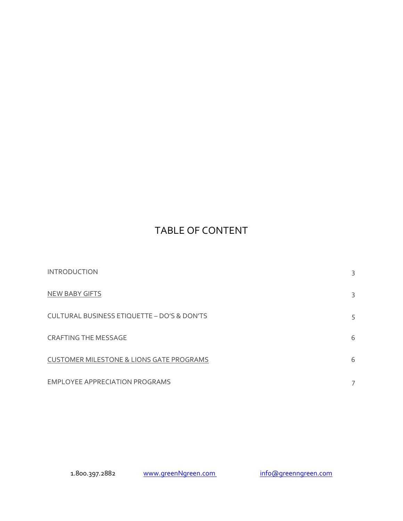# TABLE OF CONTENT

| <b>INTRODUCTION</b>                                    | 3 |
|--------------------------------------------------------|---|
| <b>NEW BABY GIFTS</b>                                  | 3 |
| <b>CULTURAL BUSINESS ETIQUETTE - DO'S &amp; DON'TS</b> | 5 |
| <b>CRAFTING THE MESSAGE</b>                            | 6 |
| <b>CUSTOMER MILESTONE &amp; LIONS GATE PROGRAMS</b>    | 6 |
| <b>EMPLOYEE APPRECIATION PROGRAMS</b>                  |   |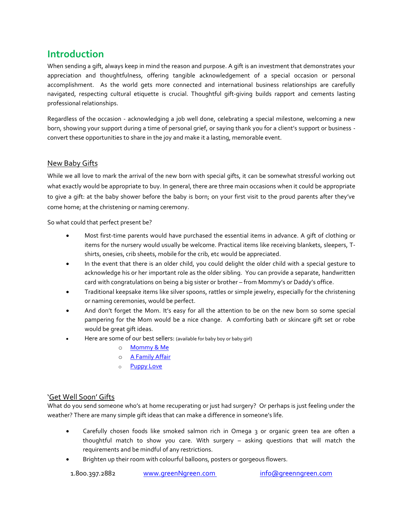### **Introduction**

When sending a gift, always keep in mind the reason and purpose. A gift is an investment that demonstrates your appreciation and thoughtfulness, offering tangible acknowledgement of a special occasion or personal accomplishment. As the world gets more connected and international business relationships are carefully navigated, respecting cultural etiquette is crucial. Thoughtful gift-giving builds rapport and cements lasting professional relationships.

Regardless of the occasion - acknowledging a [job well done,](http://www.greenngreen.com/with-alcohol/) [celebrating a special milestone,](http://www.greenngreen.com/recognition-awards/) welcoming a new born, showing your support during a time of personal grief, or saying thank you for a client's support or business convert these opportunities to share in the joy and make it a lasting, memorable event.

#### [New Baby Gifts](http://www.greenngreen.com/baby-gifts/)

While we all love to mark the arrival of the new born with special gifts, it can be somewhat stressful working out what exactly would be appropriate to buy. In general, there are three main occasions when it could be appropriate to give a gift: at the baby shower before the baby is born; on your first visit to the proud parents after they've come home; at the christening or naming ceremony.

So what could that perfect present be?

- Most first-time parents would have purchased the essential items in advance. A gift of clothing or items for the nursery would usually be welcome. Practical items like receiving blankets, sleepers, Tshirts, onesies, crib sheets, mobile for the crib, etc would be appreciated.
- In the event that there is an older child, you could delight the older child with a special gesture to acknowledge his or her important role as the older sibling. You can provide a separate, handwritten card with congratulations on being a big sister or brother – from Mommy's or Daddy's office.
- Traditional keepsake items like silver spoons, rattles or simple jewelry, especially for the christening or naming ceremonies, would be perfect.
- And don't forget the Mom. It's easy for all the attention to be on the new born so some special pampering for the Mom would be a nice change. A comforting bath or skincare gift set or robe would be great gift ideas.
- Here are some of our best sellers: (available for baby boy or baby girl)
	- o [Mommy & Me](http://www.greenngreen.com/mommy-and-me-baby-girl/)
	- o [A Family Affair](http://www.greenngreen.com/a-family-affair-baby-boy/)
	- o [Puppy Love](http://www.greenngreen.com/puppy-love-baby-girl/)

#### ['Get Well Soon' Gifts](http://www.greenngreen.com/get-well-gifts/)

What do you send someone who's at home recuperating or just had surgery? Or perhaps is just feeling under the weather? There are many simple gift ideas that can make a difference in someone's life.

- Carefully chosen foods like smoked salmon rich in Omega 3 or organic green tea are often a thoughtful match to show you care. With surgery – asking questions that will match the requirements and be mindful of any restrictions.
- Brighten up their room with colourful balloons, posters or gorgeous flowers.

1.800.397.2882 www.greenNgreen.com info@greenngreen.com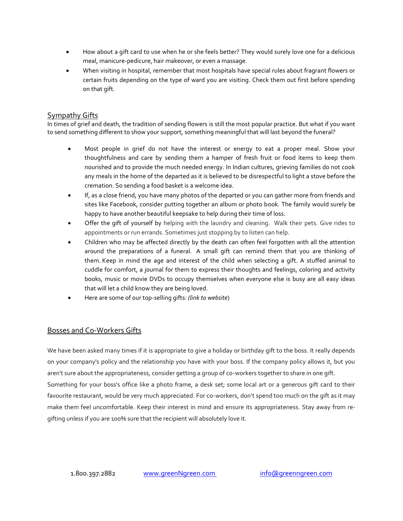- How about a gift card to use when he or she feels better? They would surely love one for a delicious meal, manicure-pedicure, hair makeover, or even a massage.
- When visiting in hospital, remember that most hospitals have special rules about fragrant flowers or certain fruits depending on the type of ward you are visiting. Check them out first before spending on that gift.

#### [Sympathy Gifts](http://www.greenngreen.com/sympathy-gift-basket/)

In times of grief and death, the tradition of sending flowers is still the most popular practice. But what if you want to send something different to show your support, something meaningful that will last beyond the funeral?

- Most people in grief do not have the interest or energy to eat a proper meal. Show your thoughtfulness and care by sending them a hamper of fresh fruit or food items to keep them nourished and to provide the much needed energy. In Indian cultures, grieving families do not cook any meals in the home of the departed as it is believed to be disrespectful to light a stove before the cremation. So sending a food basket is a welcome idea.
- If, as a close friend, you have many photos of the departed or you can gather more from friends and sites like Facebook, consider putting together an album or photo book. The family would surely be happy to have another beautiful keepsake to help during their time of loss.
- Offer the gift of yourself by helping with the laundry and cleaning. Walk their pets. Give rides to appointments or run errands. Sometimes just stopping by to listen can help.
- Children who may be affected directly by the death can often feel forgotten with all the attention around the preparations of a funeral. A small gift can remind them that you are thinking of them. Keep in mind the age and interest of the child when selecting a gift. A stuffed animal to cuddle for comfort, a journal for them to express their thoughts and feelings, coloring and activity books, music or movie DVDs to occupy themselves when everyone else is busy are all easy ideas that will let a child know they are being loved.
- Here are some of our top-selling gifts: *(link to website*)

#### Bosses and Co-Workers Gifts

We have been asked many times if it is appropriate to give a holiday or birthday gift to the boss. It really depends on your company's policy and the relationship you have with your boss. If the company policy allows it, but you aren't sure about the appropriateness, consider getting a group of co-workers together to share in one gift. Something for your boss's office like a photo frame, a desk set; some local art or a generous gift card to their favourite restaurant, would be very much appreciated. For co-workers, don't spend too much on the gift as it may make them feel uncomfortable. Keep their interest in mind and ensure its appropriateness. Stay away from regifting unless if you are 100% sure that the recipient will absolutely love it.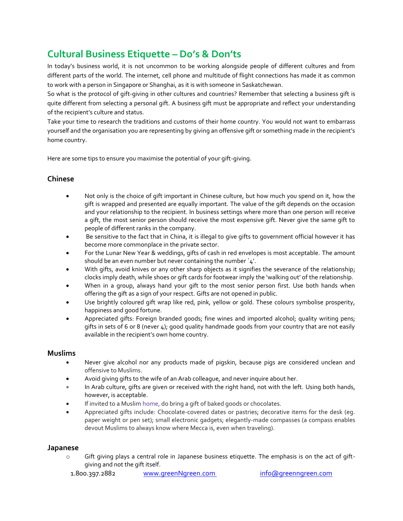## **Cultural Business Etiquette – Do's & Don'ts**

In today's business world, it is not uncommon to be working alongside people of different cultures and from different parts of the world. The internet, cell phone and multitude of flight connections has made it as common to work with a person in Singapore or Shanghai, as it is with someone in Saskatchewan.

So what is the protocol of gift-giving in other cultures and countries? Remember that selecting a business gift is quite different from selecting a personal gift. A business gift must be appropriate and reflect your understanding of the recipient's culture and status.

Take your time to research the traditions and customs of their home country. You would not want to embarrass yourself and the organisation you are representing by giving an offensive gift or something made in the recipient's home country.

Here are some tips to ensure you maximise the potential of your gift-giving.

#### **Chinese**

- Not only is the choice of gift important in Chinese culture, but how much you spend on it, how the gift is wrapped and presented are equally important. The value of the gift depends on the occasion and your relationship to the recipient. In business settings where more than one person will receive a gift, the most senior person should receive the most expensive gift. Never give the same gift to people of different ranks in the company.
- Be sensitive to the fact that in China, it is illegal to give gifts to government official however it has become more commonplace in the private sector.
- For the Lunar New Year & weddings, gifts of cash in red envelopes is most acceptable. The amount should be an even number but never containing the number  $4'.$
- With gifts, avoid knives or any other sharp objects as it signifies the severance of the relationship; clocks imply death, while shoes or gift cards for footwear imply the 'walking out' of the relationship.
- When in a group, always hand your gift to the most senior person first. Use both hands when offering the gift as a sign of your respect. Gifts are not opened in public.
- Use brightly coloured gift wrap like red, pink, yellow or gold. These colours symbolise prosperity, happiness and good fortune.
- Appreciated gifts: Foreign branded goods; fine wines and imported alcohol; quality writing pens; gifts in sets of 6 or 8 (never  $\mu$ ); good quality handmade goods from your country that are not easily available in the recipient's own home country.

#### **Muslims**

- Never give alcohol nor any products made of pigskin, because pigs are considered unclean and offensive to Muslims.
- Avoid giving gifts to the wife of an Arab colleague, and never inquire about her.
- In Arab culture, gifts are given or received with the right hand, not with the left. Using both hands, however, is acceptable.
- If invited to a Muslim [home,](http://www.giftypedia.com/Egypt_Gift_Giving_Customs) do bring a gift of baked goods or chocolates.
- Appreciated gifts include: Chocolate-covered dates or pastries; decorative items for the desk (eg. paper weight or pen set); small electronic gadgets; elegantly-made compasses (a compass enables devout Muslims to always know where Mecca is, even when traveling).

#### **Japanese**

o Gift giving plays a central role in Japanese business etiquette. The emphasis is on the act of giftgiving and not the gift itself.

1.800.397.2882 www.greenNgreen.com info@greenngreen.com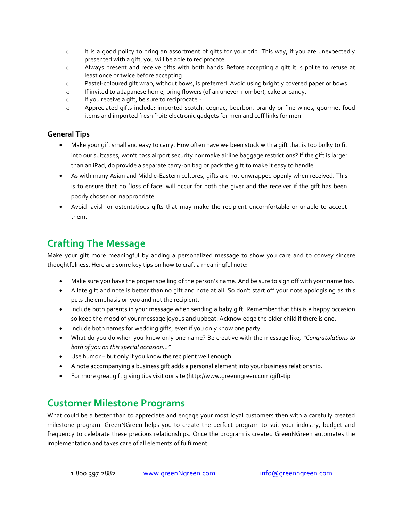- $\circ$  It is a good policy to bring an assortment of gifts for your trip. This way, if you are unexpectedly presented with a gift, you will be able to reciprocate.
- o Always present and receive gifts with both hands. Before accepting a gift it is polite to refuse at least once or twice before accepting.
- o Pastel-coloured gift wrap, without bows, is preferred. Avoid using brightly covered paper or bows.
- o If invited to a Japanese home, bring flowers (of an uneven number), cake or candy.
- o If you receive a gift, be sure to reciprocate.-
- o Appreciated gifts include: imported scotch, cognac, bourbon, brandy or fine wines, gourmet food items and imported fresh fruit; electronic gadgets for men and cuff links for men.

#### **General Tips**

- Make your gift small and easy to carry. How often have we been stuck with a gift that is too bulky to fit into our suitcases, won't pass airport security nor make airline baggage restrictions? If the gift is larger than an iPad, do provide a separate carry-on bag or pack the gift to make it easy to handle.
- As with many Asian and Middle-Eastern cultures, gifts are not unwrapped openly when received. This is to ensure that no `loss of face' will occur for both the giver and the receiver if the gift has been poorly chosen or inappropriate.
- Avoid lavish or ostentatious gifts that may make the recipient uncomfortable or unable to accept them.

### **Crafting The Message**

Make your gift more meaningful by adding a personalized message to show you care and to convey sincere thoughtfulness. Here are some key tips on how to craft a meaningful note:

- Make sure you have the proper spelling of the person's name. And be sure to sign off with your name too.
- A late gift and note is better than no gift and note at all. So don't start off your note apologising as this puts the emphasis on you and not the recipient.
- Include both parents in your message when sending a baby gift. Remember that this is a happy occasion so keep the mood of your message joyous and upbeat. Acknowledge the older child if there is one.
- Include both names for wedding gifts, even if you only know one party.
- What do you do when you know only one name? Be creative with the message like, *"Congratulations to both of you on this special occasion…"*
- Use humor but only if you know the recipient well enough.
- A note accompanying a business gift adds a personal element into your business relationship.
- For more great gift giving tips visit our site (http://www.greenngreen.com/gift-tip

### **[Customer Milestone Programs](http://www.lionsgategifts.com/)**

What could be a better than to appreciate and engage your most loyal customers then with a carefully created milestone program. GreenNGreen helps you to create the perfect program to suit your industry, budget and frequency to celebrate these precious relationships. Once the program is created GreenNGreen automates the implementation and takes care of all elements of fulfilment.